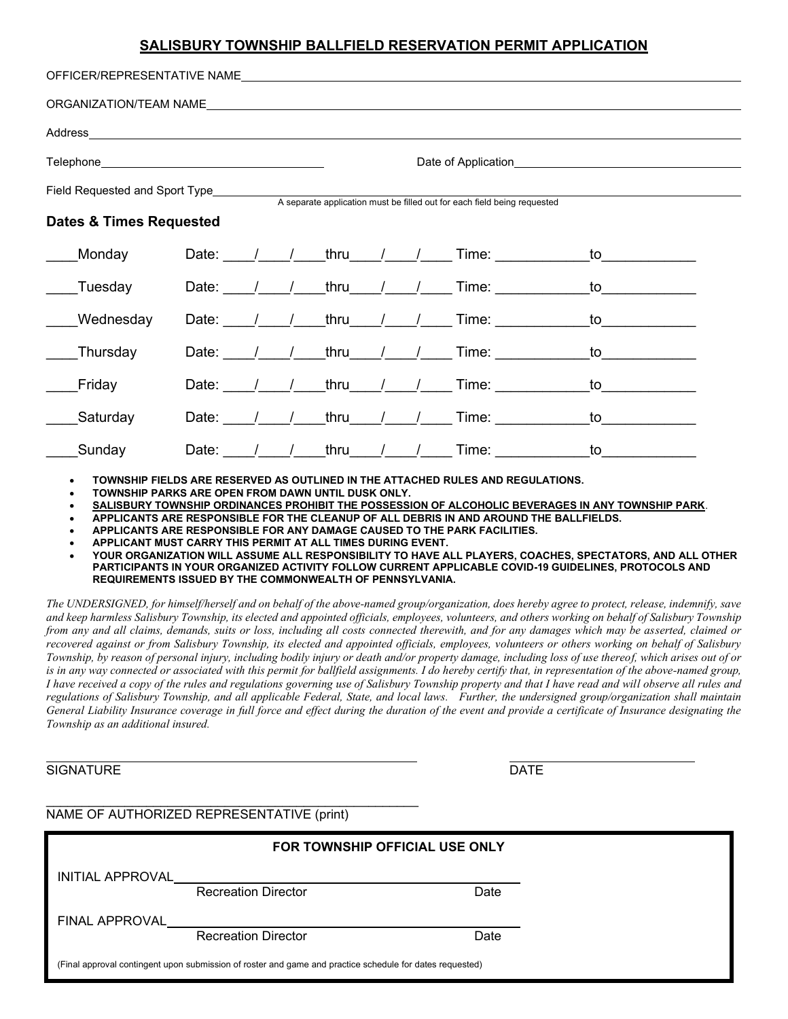## **SALISBURY TOWNSHIP BALLFIELD RESERVATION PERMIT APPLICATION**

| OFFICER/REPRESENTATIVE NAMELASSENTIAN AND THE CONTROL CONTROL CONTROL CONTROL CONTROL CONTROL CONTROL CONTROL CONTROL CONTROL CONTROL CONTROL CONTROL CONTROL CONTROL CONTROL CONTROL CONTROL CONTROL CONTROL CONTROL CONTROL  |               |  |                        |  |                                                                                                                                                                                                                                |                                                                                                                                                                                                                                |  |
|--------------------------------------------------------------------------------------------------------------------------------------------------------------------------------------------------------------------------------|---------------|--|------------------------|--|--------------------------------------------------------------------------------------------------------------------------------------------------------------------------------------------------------------------------------|--------------------------------------------------------------------------------------------------------------------------------------------------------------------------------------------------------------------------------|--|
| ORGANIZATION/TEAM NAMELA AND ANNOUNCED AND ACCORDING TO A MARKET AND A STATE OF THE STATE OF THE STATE OF THE STATE OF THE STATE OF THE STATE OF THE STATE OF THE STATE OF THE STATE OF THE STATE OF THE STATE OF THE STATE OF |               |  |                        |  |                                                                                                                                                                                                                                |                                                                                                                                                                                                                                |  |
|                                                                                                                                                                                                                                |               |  |                        |  |                                                                                                                                                                                                                                |                                                                                                                                                                                                                                |  |
|                                                                                                                                                                                                                                |               |  |                        |  |                                                                                                                                                                                                                                |                                                                                                                                                                                                                                |  |
|                                                                                                                                                                                                                                |               |  |                        |  | A separate application must be filled out for each field being requested                                                                                                                                                       |                                                                                                                                                                                                                                |  |
| <b>Dates &amp; Times Requested</b>                                                                                                                                                                                             |               |  |                        |  |                                                                                                                                                                                                                                |                                                                                                                                                                                                                                |  |
| Monday                                                                                                                                                                                                                         |               |  | Date: $/$ / thru $/$ / |  | Time: the contract of the contract of the contract of the contract of the contract of the contract of the contract of the contract of the contract of the contract of the contract of the contract of the contract of the cont |                                                                                                                                                                                                                                |  |
| Tuesday                                                                                                                                                                                                                        |               |  | Date: $/$ / thru $/$ / |  | Time: The contract of the contract of the contract of the contract of the contract of the contract of the contract of the contract of the contract of the contract of the contract of the contract of the contract of the cont | to the contract of the contract of the contract of the contract of the contract of the contract of the contract of the contract of the contract of the contract of the contract of the contract of the contract of the contrac |  |
| Wednesday                                                                                                                                                                                                                      |               |  | Date: $/$ / thru $/$ / |  | Time: The contract of the contract of the contract of the contract of the contract of the contract of the contract of the contract of the contract of the contract of the contract of the contract of the contract of the cont | to the contract of the contract of the contract of the contract of the contract of the contract of the contract of the contract of the contract of the contract of the contract of the contract of the contract of the contrac |  |
| Thursday                                                                                                                                                                                                                       | Date: $/$ /   |  | thru $/$ /             |  | Time: the contract of the contract of the contract of the contract of the contract of the contract of the contract of the contract of the contract of the contract of the contract of the contract of the contract of the cont | to                                                                                                                                                                                                                             |  |
| Friday                                                                                                                                                                                                                         | Date: $/$ $/$ |  | thru $/$ $/$           |  | Time: The contract of the contract of the contract of the contract of the contract of the contract of the contract of the contract of the contract of the contract of the contract of the contract of the contract of the cont | to                                                                                                                                                                                                                             |  |
| Saturday                                                                                                                                                                                                                       | Date: $/$ /   |  | thru $/$ $/$           |  | Time: The contract of the contract of the contract of the contract of the contract of the contract of the contract of the contract of the contract of the contract of the contract of the contract of the contract of the cont | to                                                                                                                                                                                                                             |  |
| Sunday                                                                                                                                                                                                                         | Date: $/$ /   |  | thru                   |  | Time: The Contract of the Times                                                                                                                                                                                                | to                                                                                                                                                                                                                             |  |

• **TOWNSHIP FIELDS ARE RESERVED AS OUTLINED IN THE ATTACHED RULES AND REGULATIONS.**

• **TOWNSHIP PARKS ARE OPEN FROM DAWN UNTIL DUSK ONLY.**

• **SALISBURY TOWNSHIP ORDINANCES PROHIBIT THE POSSESSION OF ALCOHOLIC BEVERAGES IN ANY TOWNSHIP PARK**.

• **APPLICANTS ARE RESPONSIBLE FOR THE CLEANUP OF ALL DEBRIS IN AND AROUND THE BALLFIELDS.**

• **APPLICANTS ARE RESPONSIBLE FOR ANY DAMAGE CAUSED TO THE PARK FACILITIES.**

• **APPLICANT MUST CARRY THIS PERMIT AT ALL TIMES DURING EVENT.**

• **YOUR ORGANIZATION WILL ASSUME ALL RESPONSIBILITY TO HAVE ALL PLAYERS, COACHES, SPECTATORS, AND ALL OTHER PARTICIPANTS IN YOUR ORGANIZED ACTIVITY FOLLOW CURRENT APPLICABLE COVID-19 GUIDELINES, PROTOCOLS AND REQUIREMENTS ISSUED BY THE COMMONWEALTH OF PENNSYLVANIA.**

*The UNDERSIGNED, for himself/herself and on behalf of the above-named group/organization, does hereby agree to protect, release, indemnify, save and keep harmless Salisbury Township, its elected and appointed officials, employees, volunteers, and others working on behalf of Salisbury Township from any and all claims, demands, suits or loss, including all costs connected therewith, and for any damages which may be asserted, claimed or recovered against or from Salisbury Township, its elected and appointed officials, employees, volunteers or others working on behalf of Salisbury Township, by reason of personal injury, including bodily injury or death and/or property damage, including loss of use thereof, which arises out of or is in any way connected or associated with this permit for ballfield assignments. I do hereby certify that, in representation of the above-named group, I have received a copy of the rules and regulations governing use of Salisbury Township property and that I have read and will observe all rules and regulations of Salisbury Township, and all applicable Federal, State, and local laws. Further, the undersigned group/organization shall maintain General Liability Insurance coverage in full force and effect during the duration of the event and provide a certificate of Insurance designating the Township as an additional insured.* 

l.

**SIGNATURE** 

| I |  |  |
|---|--|--|

## NAME OF AUTHORIZED REPRESENTATIVE (print)

|                       | FOR TOWNSHIP OFFICIAL USE ONLY                                                                           |      |  |  |  |  |  |
|-----------------------|----------------------------------------------------------------------------------------------------------|------|--|--|--|--|--|
|                       | INITIAL APPROVAL_________________________                                                                |      |  |  |  |  |  |
|                       | <b>Recreation Director</b>                                                                               | Date |  |  |  |  |  |
| <b>FINAL APPROVAL</b> |                                                                                                          |      |  |  |  |  |  |
|                       | <b>Recreation Director</b>                                                                               | Date |  |  |  |  |  |
|                       | (Final approval contingent upon submission of roster and game and practice schedule for dates requested) |      |  |  |  |  |  |